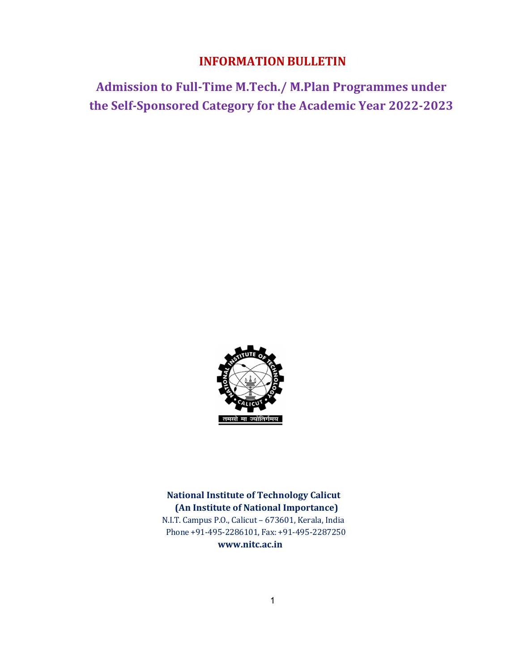# INFORMATION BULLETIN

Admission to Full-Time M.Tech./ M.Plan Programmes under the Self-Sponsored Category for the Academic Year 2022-2023



National Institute of Technology Calicut (An Institute of National Importance) N.I.T. Campus P.O., Calicut – 673601, Kerala, India Phone +91-495-2286101, Fax: +91-495-2287250 www.nitc.ac.in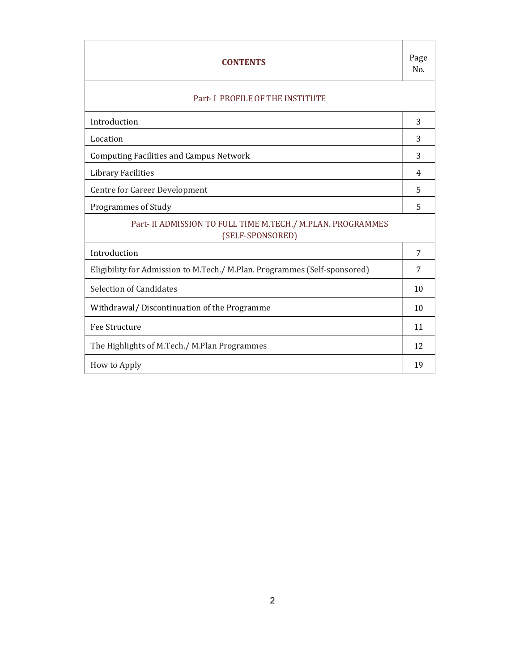| <b>CONTENTS</b>                                                                 |    |  |
|---------------------------------------------------------------------------------|----|--|
| Part-I PROFILE OF THE INSTITUTE                                                 |    |  |
| Introduction                                                                    | 3  |  |
| Location                                                                        | 3  |  |
| <b>Computing Facilities and Campus Network</b>                                  | 3  |  |
| Library Facilities                                                              | 4  |  |
| Centre for Career Development                                                   | 5  |  |
| Programmes of Study                                                             | 5  |  |
| Part- II ADMISSION TO FULL TIME M.TECH./ M.PLAN. PROGRAMMES<br>(SELF-SPONSORED) |    |  |
| Introduction                                                                    | 7  |  |
| Eligibility for Admission to M.Tech./ M.Plan. Programmes (Self-sponsored)       | 7  |  |
| Selection of Candidates                                                         | 10 |  |
| Withdrawal/Discontinuation of the Programme                                     | 10 |  |
| Fee Structure                                                                   | 11 |  |
| The Highlights of M.Tech./ M.Plan Programmes                                    | 12 |  |
| How to Apply                                                                    | 19 |  |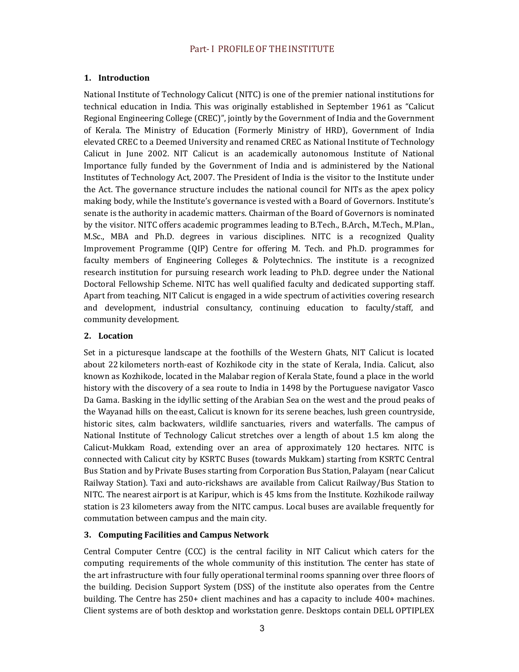## Part- I PROFILE OF THE INSTITUTE

## 1. Introduction

National Institute of Technology Calicut (NITC) is one of the premier national institutions for technical education in India. This was originally established in September 1961 as "Calicut Regional Engineering College (CREC)", jointly by the Government of India and the Government of Kerala. The Ministry of Education (Formerly Ministry of HRD), Government of India elevated CREC to a Deemed University and renamed CREC as National Institute of Technology Calicut in June 2002. NIT Calicut is an academically autonomous Institute of National Importance fully funded by the Government of India and is administered by the National Institutes of Technology Act, 2007. The President of India is the visitor to the Institute under the Act. The governance structure includes the national council for NITs as the apex policy making body, while the Institute's governance is vested with a Board of Governors. Institute's senate is the authority in academic matters. Chairman of the Board of Governors is nominated by the visitor. NITC offers academic programmes leading to B.Tech., B.Arch., M.Tech., M.Plan., M.Sc., MBA and Ph.D. degrees in various disciplines. NITC is a recognized Quality Improvement Programme (QIP) Centre for offering M. Tech. and Ph.D. programmes for faculty members of Engineering Colleges & Polytechnics. The institute is a recognized research institution for pursuing research work leading to Ph.D. degree under the National Doctoral Fellowship Scheme. NITC has well qualified faculty and dedicated supporting staff. Apart from teaching, NIT Calicut is engaged in a wide spectrum of activities covering research and development, industrial consultancy, continuing education to faculty/staff, and community development.

## 2. Location

Set in a picturesque landscape at the foothills of the Western Ghats, NIT Calicut is located about 22 kilometers north-east of Kozhikode city in the state of Kerala, India. Calicut, also known as Kozhikode, located in the Malabar region of Kerala State, found a place in the world history with the discovery of a sea route to India in 1498 by the Portuguese navigator Vasco Da Gama. Basking in the idyllic setting of the Arabian Sea on the west and the proud peaks of the Wayanad hills on the east, Calicut is known for its serene beaches, lush green countryside, historic sites, calm backwaters, wildlife sanctuaries, rivers and waterfalls. The campus of National Institute of Technology Calicut stretches over a length of about 1.5 km along the Calicut-Mukkam Road, extending over an area of approximately 120 hectares. NITC is connected with Calicut city by KSRTC Buses (towards Mukkam) starting from KSRTC Central Bus Station and by Private Buses starting from Corporation Bus Station, Palayam (near Calicut Railway Station). Taxi and auto-rickshaws are available from Calicut Railway/Bus Station to NITC. The nearest airport is at Karipur, which is 45 kms from the Institute. Kozhikode railway station is 23 kilometers away from the NITC campus. Local buses are available frequently for commutation between campus and the main city.

## 3. Computing Facilities and Campus Network

Central Computer Centre (CCC) is the central facility in NIT Calicut which caters for the computing requirements of the whole community of this institution. The center has state of the art infrastructure with four fully operational terminal rooms spanning over three floors of the building. Decision Support System (DSS) of the institute also operates from the Centre building. The Centre has 250+ client machines and has a capacity to include 400+ machines. Client systems are of both desktop and workstation genre. Desktops contain DELL OPTIPLEX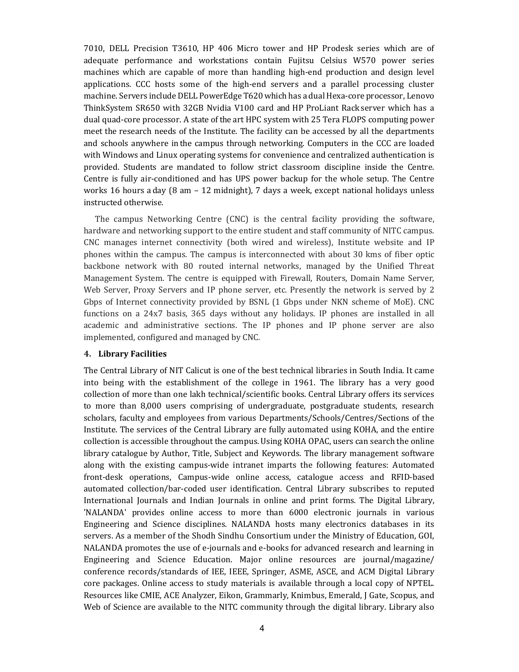7010, DELL Precision T3610, HP 406 Micro tower and HP Prodesk series which are of adequate performance and workstations contain Fujitsu Celsius W570 power series machines which are capable of more than handling high-end production and design level applications. CCC hosts some of the high-end servers and a parallel processing cluster machine. Servers include DELL PowerEdge T620 which has a dual Hexa-core processor, Lenovo ThinkSystem SR650 with 32GB Nvidia V100 card and HP ProLiant Rack server which has a dual quad-core processor. A state of the art HPC system with 25 Tera FLOPS computing power meet the research needs of the Institute. The facility can be accessed by all the departments and schools anywhere in the campus through networking. Computers in the CCC are loaded with Windows and Linux operating systems for convenience and centralized authentication is provided. Students are mandated to follow strict classroom discipline inside the Centre. Centre is fully air-conditioned and has UPS power backup for the whole setup. The Centre works 16 hours a day (8 am – 12 midnight), 7 days a week, except national holidays unless instructed otherwise.

The campus Networking Centre (CNC) is the central facility providing the software, hardware and networking support to the entire student and staff community of NITC campus. CNC manages internet connectivity (both wired and wireless), Institute website and IP phones within the campus. The campus is interconnected with about 30 kms of fiber optic backbone network with 80 routed internal networks, managed by the Unified Threat Management System. The centre is equipped with Firewall, Routers, Domain Name Server, Web Server, Proxy Servers and IP phone server, etc. Presently the network is served by 2 Gbps of Internet connectivity provided by BSNL (1 Gbps under NKN scheme of MoE). CNC functions on a 24x7 basis, 365 days without any holidays. IP phones are installed in all academic and administrative sections. The IP phones and IP phone server are also implemented, configured and managed by CNC.

#### 4. Library Facilities

The Central Library of NIT Calicut is one of the best technical libraries in South India. It came into being with the establishment of the college in 1961. The library has a very good collection of more than one lakh technical/scientific books. Central Library offers its services to more than 8,000 users comprising of undergraduate, postgraduate students, research scholars, faculty and employees from various Departments/Schools/Centres/Sections of the Institute. The services of the Central Library are fully automated using KOHA, and the entire collection is accessible throughout the campus. Using KOHA OPAC, users can search the online library catalogue by Author, Title, Subject and Keywords. The library management software along with the existing campus-wide intranet imparts the following features: Automated front-desk operations, Campus-wide online access, catalogue access and RFID-based automated collection/bar-coded user identification. Central Library subscribes to reputed International Journals and Indian Journals in online and print forms. The Digital Library, 'NALANDA' provides online access to more than 6000 electronic journals in various Engineering and Science disciplines. NALANDA hosts many electronics databases in its servers. As a member of the Shodh Sindhu Consortium under the Ministry of Education, GOI, NALANDA promotes the use of e-journals and e-books for advanced research and learning in Engineering and Science Education. Major online resources are journal/magazine/ conference records/standards of IEE, IEEE, Springer, ASME, ASCE, and ACM Digital Library core packages. Online access to study materials is available through a local copy of NPTEL. Resources like CMIE, ACE Analyzer, Eikon, Grammarly, Knimbus, Emerald, J Gate, Scopus, and Web of Science are available to the NITC community through the digital library. Library also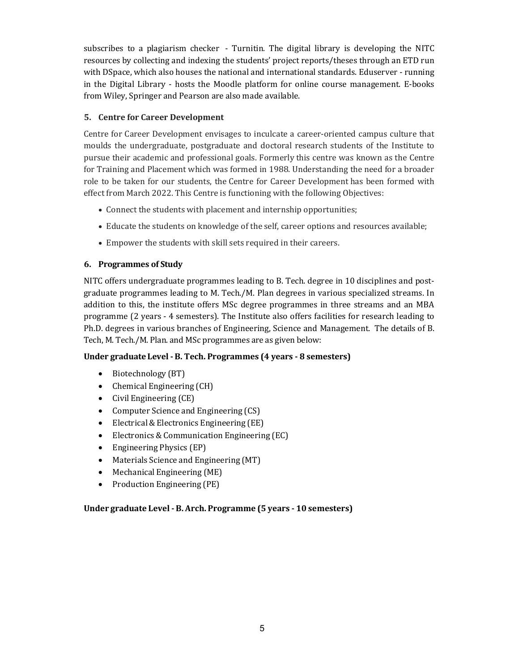subscribes to a plagiarism checker - Turnitin. The digital library is developing the NITC resources by collecting and indexing the students' project reports/theses through an ETD run with DSpace, which also houses the national and international standards. Eduserver - running in the Digital Library - hosts the Moodle platform for online course management. E-books from Wiley, Springer and Pearson are also made available.

## 5. Centre for Career Development

Centre for Career Development envisages to inculcate a career-oriented campus culture that moulds the undergraduate, postgraduate and doctoral research students of the Institute to pursue their academic and professional goals. Formerly this centre was known as the Centre for Training and Placement which was formed in 1988. Understanding the need for a broader role to be taken for our students, the Centre for Career Development has been formed with effect from March 2022. This Centre is functioning with the following Objectives:

- Connect the students with placement and internship opportunities;
- Educate the students on knowledge of the self, career options and resources available;
- Empower the students with skill sets required in their careers.

## 6. Programmes of Study

NITC offers undergraduate programmes leading to B. Tech. degree in 10 disciplines and postgraduate programmes leading to M. Tech./M. Plan degrees in various specialized streams. In addition to this, the institute offers MSc degree programmes in three streams and an MBA programme (2 years - 4 semesters). The Institute also offers facilities for research leading to Ph.D. degrees in various branches of Engineering, Science and Management. The details of B. Tech, M. Tech./M. Plan. and MSc programmes are as given below:

## Under graduate Level - B. Tech. Programmes (4 years - 8 semesters)

- Biotechnology (BT)
- Chemical Engineering (CH)
- Civil Engineering (CE)
- Computer Science and Engineering (CS)
- Electrical & Electronics Engineering (EE)
- Electronics & Communication Engineering (EC)
- Engineering Physics (EP)
- Materials Science and Engineering (MT)
- Mechanical Engineering (ME)
- Production Engineering (PE)

## Under graduate Level - B. Arch. Programme (5 years - 10 semesters)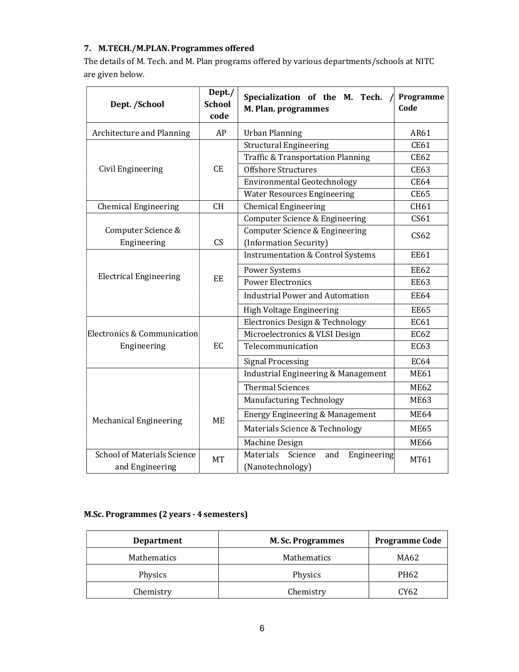## 7. M.TECH./M.PLAN. Programmes offered

The details of M. Tech. and M. Plan programs offered by various departments/schools at NITC are given below.

| Dept. /School                                         | Dept./<br><b>School</b><br>code | Specialization of the M. Tech.<br>M. Plan. programmes          | Programme<br>Code |
|-------------------------------------------------------|---------------------------------|----------------------------------------------------------------|-------------------|
| Architecture and Planning                             | AP                              | <b>Urban Planning</b>                                          | AR61              |
|                                                       |                                 | <b>Structural Engineering</b>                                  | <b>CE61</b>       |
|                                                       |                                 | <b>Traffic &amp; Transportation Planning</b>                   | <b>CE62</b>       |
| Civil Engineering                                     | <b>CE</b>                       | <b>Offshore Structures</b>                                     | <b>CE63</b>       |
|                                                       |                                 | <b>Environmental Geotechnology</b>                             | <b>CE64</b>       |
|                                                       |                                 | <b>Water Resources Engineering</b>                             | <b>CE65</b>       |
| <b>Chemical Engineering</b>                           | <b>CH</b>                       | <b>Chemical Engineering</b>                                    | CH61              |
|                                                       |                                 | <b>Computer Science &amp; Engineering</b>                      | CS61              |
| Computer Science &<br>Engineering                     | CS                              | Computer Science & Engineering<br>(Information Security)       | CS62              |
|                                                       |                                 | <b>Instrumentation &amp; Control Systems</b>                   | <b>EE61</b>       |
|                                                       | EE                              | <b>Power Systems</b>                                           | <b>EE62</b>       |
| <b>Electrical Engineering</b>                         |                                 | <b>Power Electronics</b>                                       | <b>EE63</b>       |
|                                                       |                                 | <b>Industrial Power and Automation</b>                         | <b>EE64</b>       |
|                                                       |                                 | High Voltage Engineering                                       | <b>EE65</b>       |
|                                                       |                                 | <b>Electronics Design &amp; Technology</b>                     | EC61              |
| Electronics & Communication                           |                                 | Microelectronics & VLSI Design                                 | <b>EC62</b>       |
| Engineering                                           | EC                              | Telecommunication                                              | <b>EC63</b>       |
|                                                       |                                 | <b>Signal Processing</b>                                       | <b>EC64</b>       |
|                                                       |                                 | <b>Industrial Engineering &amp; Management</b>                 | <b>ME61</b>       |
|                                                       |                                 | <b>Thermal Sciences</b>                                        | <b>ME62</b>       |
|                                                       |                                 | Manufacturing Technology                                       | <b>ME63</b>       |
| Mechanical Engineering                                | <b>ME</b>                       | Energy Engineering & Management                                | <b>ME64</b>       |
|                                                       |                                 | Materials Science & Technology                                 | <b>ME65</b>       |
|                                                       |                                 | Machine Design                                                 | <b>ME66</b>       |
| <b>School of Materials Science</b><br>and Engineering | <b>MT</b>                       | Materials<br>Science<br>and<br>Engineering<br>(Nanotechnology) | MT61              |

## M.Sc. Programmes (2 years - 4 semesters)

| <b>Department</b> | <b>M. Sc. Programmes</b> | <b>Programme Code</b> |
|-------------------|--------------------------|-----------------------|
| Mathematics       | Mathematics              | MA62                  |
| Physics           | Physics                  | PH62                  |
| Chemistry         | Chemistry                | CY62                  |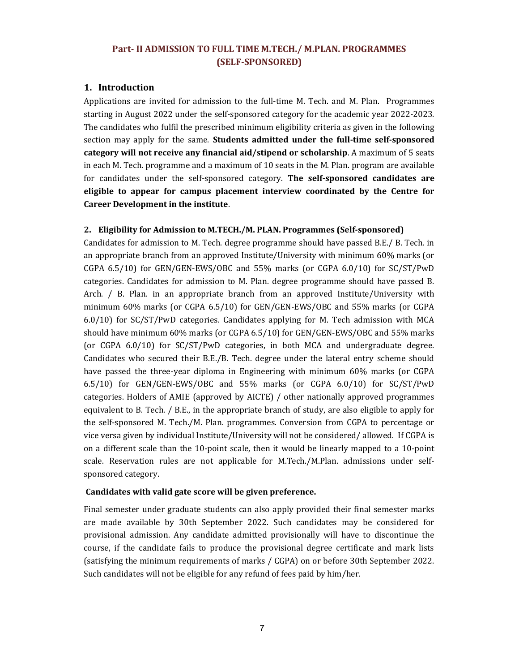## Part- II ADMISSION TO FULL TIME M.TECH./ M.PLAN. PROGRAMMES (SELF-SPONSORED)

## 1. Introduction

Applications are invited for admission to the full-time M. Tech. and M. Plan. Programmes starting in August 2022 under the self-sponsored category for the academic year 2022-2023. The candidates who fulfil the prescribed minimum eligibility criteria as given in the following section may apply for the same. Students admitted under the full-time self-sponsored category will not receive any financial aid/stipend or scholarship. A maximum of 5 seats in each M. Tech. programme and a maximum of 10 seats in the M. Plan. program are available for candidates under the self-sponsored category. The self-sponsored candidates are eligible to appear for campus placement interview coordinated by the Centre for Career Development in the institute.

### 2. Eligibility for Admission to M.TECH./M. PLAN. Programmes (Self-sponsored)

Candidates for admission to M. Tech. degree programme should have passed B.E./ B. Tech. in an appropriate branch from an approved Institute/University with minimum 60% marks (or CGPA 6.5/10) for GEN/GEN-EWS/OBC and 55% marks (or CGPA 6.0/10) for SC/ST/PwD categories. Candidates for admission to M. Plan. degree programme should have passed B. Arch. / B. Plan. in an appropriate branch from an approved Institute/University with minimum 60% marks (or CGPA 6.5/10) for GEN/GEN-EWS/OBC and 55% marks (or CGPA 6.0/10) for SC/ST/PwD categories. Candidates applying for M. Tech admission with MCA should have minimum 60% marks (or CGPA 6.5/10) for GEN/GEN-EWS/OBC and 55% marks (or CGPA 6.0/10) for SC/ST/PwD categories, in both MCA and undergraduate degree. Candidates who secured their B.E./B. Tech. degree under the lateral entry scheme should have passed the three-year diploma in Engineering with minimum 60% marks (or CGPA 6.5/10) for GEN/GEN-EWS/OBC and 55% marks (or CGPA 6.0/10) for SC/ST/PwD categories. Holders of AMIE (approved by AICTE) / other nationally approved programmes equivalent to B. Tech. / B.E., in the appropriate branch of study, are also eligible to apply for the self-sponsored M. Tech./M. Plan. programmes. Conversion from CGPA to percentage or vice versa given by individual Institute/University will not be considered/ allowed. If CGPA is on a different scale than the 10-point scale, then it would be linearly mapped to a 10-point scale. Reservation rules are not applicable for M.Tech./M.Plan. admissions under selfsponsored category.

#### Candidates with valid gate score will be given preference.

Final semester under graduate students can also apply provided their final semester marks are made available by 30th September 2022. Such candidates may be considered for provisional admission. Any candidate admitted provisionally will have to discontinue the course, if the candidate fails to produce the provisional degree certificate and mark lists (satisfying the minimum requirements of marks / CGPA) on or before 30th September 2022. Such candidates will not be eligible for any refund of fees paid by him/her.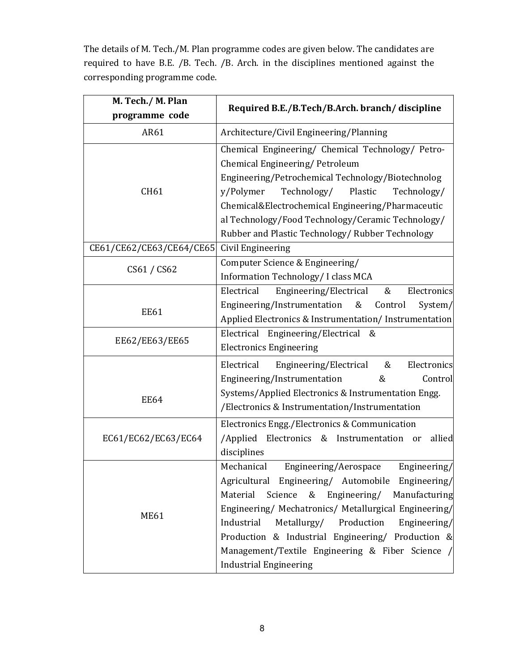The details of M. Tech./M. Plan programme codes are given below. The candidates are required to have B.E. /B. Tech. /B. Arch. in the disciplines mentioned against the corresponding programme code.

| M. Tech./ M. Plan        | Required B.E./B.Tech/B.Arch. branch/discipline            |  |
|--------------------------|-----------------------------------------------------------|--|
| programme code           |                                                           |  |
| AR61                     | Architecture/Civil Engineering/Planning                   |  |
|                          | Chemical Engineering/ Chemical Technology/ Petro-         |  |
|                          | Chemical Engineering/Petroleum                            |  |
|                          | Engineering/Petrochemical Technology/Biotechnolog         |  |
| CH61                     | Technology/ Plastic<br>y/Polymer<br>Technology/           |  |
|                          | Chemical&Electrochemical Engineering/Pharmaceutic         |  |
|                          | al Technology/Food Technology/Ceramic Technology/         |  |
|                          | Rubber and Plastic Technology/ Rubber Technology          |  |
| CE61/CE62/CE63/CE64/CE65 | Civil Engineering                                         |  |
| CS61 / CS62              | Computer Science & Engineering/                           |  |
|                          | Information Technology/ I class MCA                       |  |
|                          | Electrical<br>Engineering/Electrical<br>Electronics<br>&  |  |
| <b>EE61</b>              | Engineering/Instrumentation<br>&<br>Control<br>System/    |  |
|                          | Applied Electronics & Instrumentation/Instrumentation     |  |
| EE62/EE63/EE65           | Electrical Engineering/Electrical<br>&                    |  |
|                          | <b>Electronics Engineering</b>                            |  |
|                          | Electrical<br>&<br>Engineering/Electrical<br>Electronics  |  |
|                          | Engineering/Instrumentation<br>&<br>Control               |  |
| <b>EE64</b>              | Systems/Applied Electronics & Instrumentation Engg.       |  |
|                          | /Electronics & Instrumentation/Instrumentation            |  |
|                          | Electronics Engg./Electronics & Communication             |  |
| EC61/EC62/EC63/EC64      | /Applied Electronics & Instrumentation or<br>allied       |  |
|                          | disciplines                                               |  |
| <b>ME61</b>              | Mechanical<br>Engineering/Aerospace<br>Engineering/       |  |
|                          | Agricultural Engineering/ Automobile Engineering/         |  |
|                          | Engineering/<br>Material<br>Science<br>&<br>Manufacturing |  |
|                          | Engineering/ Mechatronics/ Metallurgical Engineering/     |  |
|                          | Metallurgy/ Production<br>Industrial<br>Engineering/      |  |
|                          | Production & Industrial Engineering/ Production &         |  |
|                          | Management/Textile Engineering & Fiber Science /          |  |
|                          | <b>Industrial Engineering</b>                             |  |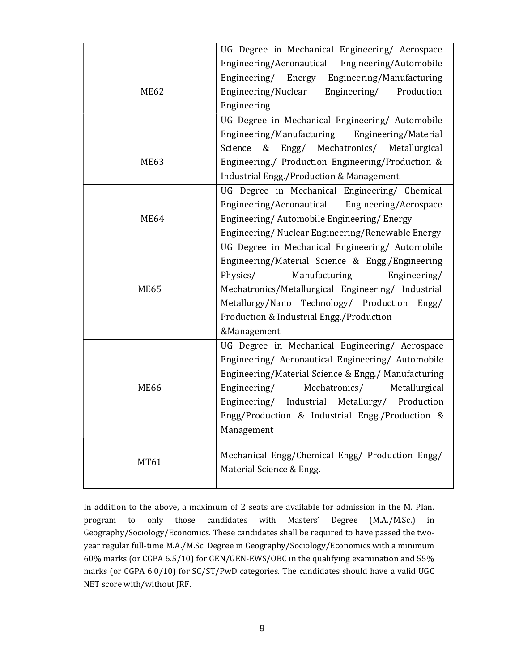|             | UG Degree in Mechanical Engineering/ Aerospace      |
|-------------|-----------------------------------------------------|
|             | Engineering/Aeronautical Engineering/Automobile     |
|             | Engineering/ Energy Engineering/Manufacturing       |
| <b>ME62</b> | Engineering/Nuclear<br>Engineering/<br>Production   |
|             | Engineering                                         |
|             | UG Degree in Mechanical Engineering/ Automobile     |
|             | Engineering/Manufacturing<br>Engineering/Material   |
|             | & Engg/ Mechatronics/ Metallurgical<br>Science      |
| <b>ME63</b> | Engineering./ Production Engineering/Production &   |
|             | <b>Industrial Engg./Production &amp; Management</b> |
|             | UG Degree in Mechanical Engineering/ Chemical       |
|             | Engineering/Aeronautical<br>Engineering/Aerospace   |
| <b>ME64</b> | Engineering/ Automobile Engineering/ Energy         |
|             | Engineering/Nuclear Engineering/Renewable Energy    |
|             | UG Degree in Mechanical Engineering/ Automobile     |
|             | Engineering/Material Science & Engg./Engineering    |
|             | Manufacturing<br>Physics/<br>Engineering/           |
| <b>ME65</b> | Mechatronics/Metallurgical Engineering/ Industrial  |
|             | Metallurgy/Nano Technology/ Production Engg/        |
|             | Production & Industrial Engg./Production            |
|             | &Management                                         |
|             | UG Degree in Mechanical Engineering/ Aerospace      |
|             | Engineering/ Aeronautical Engineering/ Automobile   |
|             | Engineering/Material Science & Engg./ Manufacturing |
| <b>ME66</b> | Mechatronics/<br>Engineering/<br>Metallurgical      |
|             | Engineering/ Industrial Metallurgy/ Production      |
|             | Engg/Production & Industrial Engg./Production &     |
|             | Management                                          |
|             | Mechanical Engg/Chemical Engg/ Production Engg/     |
| MT61        | Material Science & Engg.                            |
|             |                                                     |

In addition to the above, a maximum of 2 seats are available for admission in the M. Plan. program to only those candidates with Masters' Degree (M.A./M.Sc.) in Geography/Sociology/Economics. These candidates shall be required to have passed the twoyear regular full-time M.A./M.Sc. Degree in Geography/Sociology/Economics with a minimum 60% marks (or CGPA 6.5/10) for GEN/GEN-EWS/OBC in the qualifying examination and 55% marks (or CGPA 6.0/10) for SC/ST/PwD categories. The candidates should have a valid UGC NET score with/without JRF.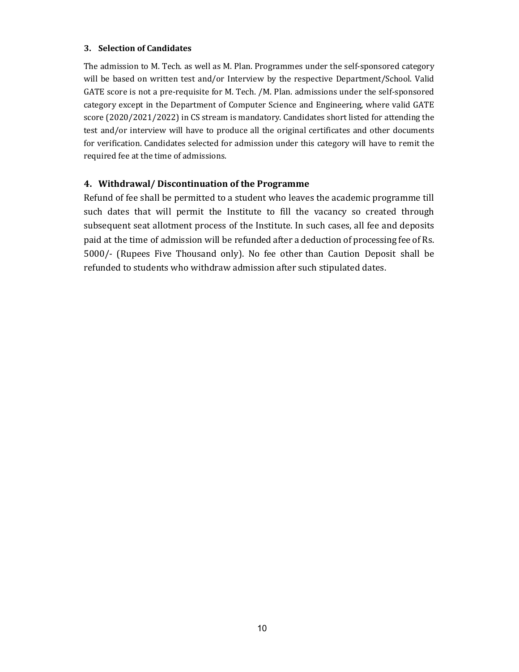## 3. Selection of Candidates

The admission to M. Tech. as well as M. Plan. Programmes under the self-sponsored category will be based on written test and/or Interview by the respective Department/School. Valid GATE score is not a pre-requisite for M. Tech. /M. Plan. admissions under the self-sponsored category except in the Department of Computer Science and Engineering, where valid GATE score (2020/2021/2022) in CS stream is mandatory. Candidates short listed for attending the test and/or interview will have to produce all the original certificates and other documents for verification. Candidates selected for admission under this category will have to remit the required fee at the time of admissions.

## 4. Withdrawal/ Discontinuation of the Programme

Refund of fee shall be permitted to a student who leaves the academic programme till such dates that will permit the Institute to fill the vacancy so created through subsequent seat allotment process of the Institute. In such cases, all fee and deposits paid at the time of admission will be refunded after a deduction of processing fee of Rs. 5000/- (Rupees Five Thousand only). No fee other than Caution Deposit shall be refunded to students who withdraw admission after such stipulated dates.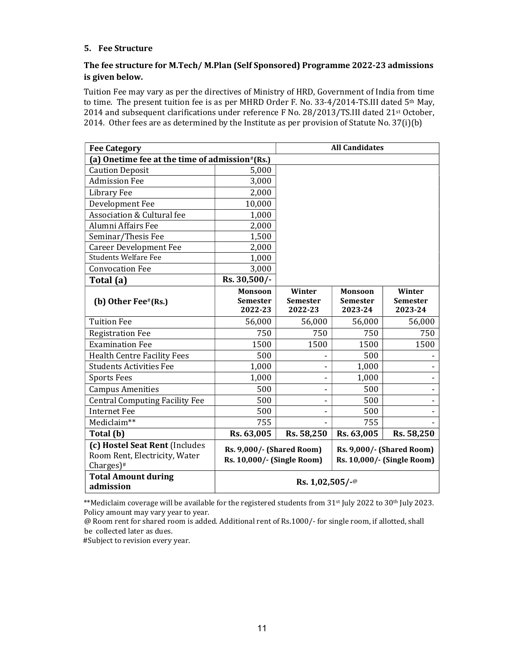### 5. Fee Structure

## The fee structure for M.Tech/ M.Plan (Self Sponsored) Programme 2022-23 admissions is given below.

Tuition Fee may vary as per the directives of Ministry of HRD, Government of India from time to time. The present tuition fee is as per MHRD Order F. No. 33-4/2014-TS.III dated 5<sup>th</sup> May, 2014 and subsequent clarifications under reference F No. 28/2013/TS.III dated 21st October, 2014. Other fees are as determined by the Institute as per provision of Statute No. 37(i)(b)

| <b>Fee Category</b>                                                                         |                                                                                                                                  | <b>All Candidates</b>                |                                              |                                      |
|---------------------------------------------------------------------------------------------|----------------------------------------------------------------------------------------------------------------------------------|--------------------------------------|----------------------------------------------|--------------------------------------|
| (a) Onetime fee at the time of admission#(Rs.)                                              |                                                                                                                                  |                                      |                                              |                                      |
| <b>Caution Deposit</b>                                                                      | 5,000                                                                                                                            |                                      |                                              |                                      |
| <b>Admission Fee</b>                                                                        | 3,000                                                                                                                            |                                      |                                              |                                      |
| Library Fee                                                                                 | 2,000                                                                                                                            |                                      |                                              |                                      |
| Development Fee                                                                             | 10,000                                                                                                                           |                                      |                                              |                                      |
| <b>Association &amp; Cultural fee</b>                                                       | 1,000                                                                                                                            |                                      |                                              |                                      |
| Alumni Affairs Fee                                                                          | 2,000                                                                                                                            |                                      |                                              |                                      |
| Seminar/Thesis Fee                                                                          | 1,500                                                                                                                            |                                      |                                              |                                      |
| <b>Career Development Fee</b>                                                               | 2,000                                                                                                                            |                                      |                                              |                                      |
| <b>Students Welfare Fee</b>                                                                 | 1,000                                                                                                                            |                                      |                                              |                                      |
| <b>Convocation Fee</b>                                                                      | 3,000                                                                                                                            |                                      |                                              |                                      |
| Total (a)                                                                                   | Rs. 30,500/-                                                                                                                     |                                      |                                              |                                      |
| (b) Other Fee#(Rs.)                                                                         | Monsoon<br><b>Semester</b><br>2022-23                                                                                            | Winter<br><b>Semester</b><br>2022-23 | <b>Monsoon</b><br><b>Semester</b><br>2023-24 | Winter<br><b>Semester</b><br>2023-24 |
| <b>Tuition Fee</b>                                                                          | 56,000                                                                                                                           | 56,000                               | 56,000                                       | 56,000                               |
| <b>Registration Fee</b>                                                                     | 750                                                                                                                              | 750                                  | 750                                          | 750                                  |
| <b>Examination Fee</b>                                                                      | 1500                                                                                                                             | 1500                                 | 1500                                         | 1500                                 |
| <b>Health Centre Facility Fees</b>                                                          | 500                                                                                                                              |                                      | 500                                          |                                      |
| <b>Students Activities Fee</b>                                                              | 1,000                                                                                                                            |                                      | 1,000                                        |                                      |
| <b>Sports Fees</b>                                                                          | 1,000                                                                                                                            |                                      | 1,000                                        |                                      |
| <b>Campus Amenities</b>                                                                     | 500                                                                                                                              |                                      | 500                                          |                                      |
| <b>Central Computing Facility Fee</b>                                                       | 500                                                                                                                              |                                      | 500                                          |                                      |
| <b>Internet Fee</b>                                                                         | 500                                                                                                                              |                                      | 500                                          |                                      |
| Mediclaim**                                                                                 | 755                                                                                                                              |                                      | 755                                          |                                      |
| Total (b)                                                                                   | Rs. 63,005                                                                                                                       | Rs. 58,250                           | Rs. 63,005                                   | Rs. 58,250                           |
| (c) Hostel Seat Rent (Includes<br>Room Rent, Electricity, Water<br>$Chargest)$ <sup>#</sup> | <b>Rs. 9,000/- (Shared Room)</b><br><b>Rs. 9,000/- (Shared Room)</b><br>Rs. 10,000/- (Single Room)<br>Rs. 10,000/- (Single Room) |                                      |                                              |                                      |
| <b>Total Amount during</b><br>admission                                                     | Rs. $1,02,505/$ -@                                                                                                               |                                      |                                              |                                      |

\*\*Mediclaim coverage will be available for the registered students from 31<sup>st</sup> July 2022 to 30<sup>th</sup> July 2023. Policy amount may vary year to year.

@ Room rent for shared room is added. Additional rent of Rs.1000/- for single room, if allotted, shall be collected later as dues.

#Subject to revision every year.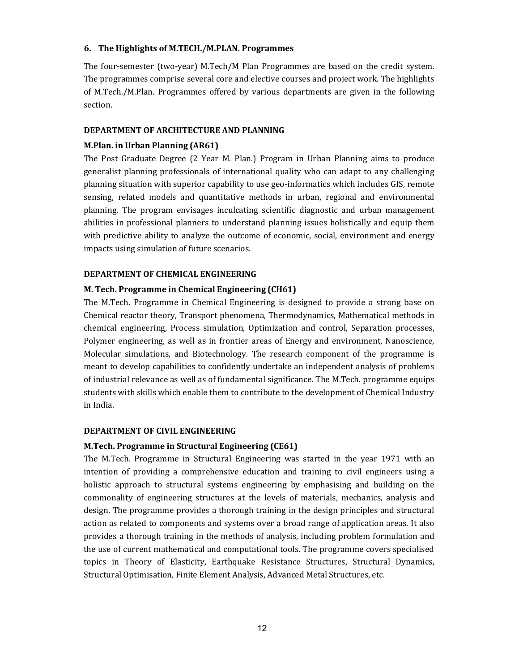### 6. The Highlights of M.TECH./M.PLAN. Programmes

The four-semester (two-year) M.Tech/M Plan Programmes are based on the credit system. The programmes comprise several core and elective courses and project work. The highlights of M.Tech./M.Plan. Programmes offered by various departments are given in the following section.

## DEPARTMENT OF ARCHITECTURE AND PLANNING

## M.Plan. in Urban Planning (AR61)

The Post Graduate Degree (2 Year M. Plan.) Program in Urban Planning aims to produce generalist planning professionals of international quality who can adapt to any challenging planning situation with superior capability to use geo-informatics which includes GIS, remote sensing, related models and quantitative methods in urban, regional and environmental planning. The program envisages inculcating scientific diagnostic and urban management abilities in professional planners to understand planning issues holistically and equip them with predictive ability to analyze the outcome of economic, social, environment and energy impacts using simulation of future scenarios.

## DEPARTMENT OF CHEMICAL ENGINEERING

## M. Tech. Programme in Chemical Engineering (CH61)

The M.Tech. Programme in Chemical Engineering is designed to provide a strong base on Chemical reactor theory, Transport phenomena, Thermodynamics, Mathematical methods in chemical engineering, Process simulation, Optimization and control, Separation processes, Polymer engineering, as well as in frontier areas of Energy and environment, Nanoscience, Molecular simulations, and Biotechnology. The research component of the programme is meant to develop capabilities to confidently undertake an independent analysis of problems of industrial relevance as well as of fundamental significance. The M.Tech. programme equips students with skills which enable them to contribute to the development of Chemical Industry in India.

## DEPARTMENT OF CIVIL ENGINEERING

## M.Tech. Programme in Structural Engineering (CE61)

The M.Tech. Programme in Structural Engineering was started in the year 1971 with an intention of providing a comprehensive education and training to civil engineers using a holistic approach to structural systems engineering by emphasising and building on the commonality of engineering structures at the levels of materials, mechanics, analysis and design. The programme provides a thorough training in the design principles and structural action as related to components and systems over a broad range of application areas. It also provides a thorough training in the methods of analysis, including problem formulation and the use of current mathematical and computational tools. The programme covers specialised topics in Theory of Elasticity, Earthquake Resistance Structures, Structural Dynamics, Structural Optimisation, Finite Element Analysis, Advanced Metal Structures, etc.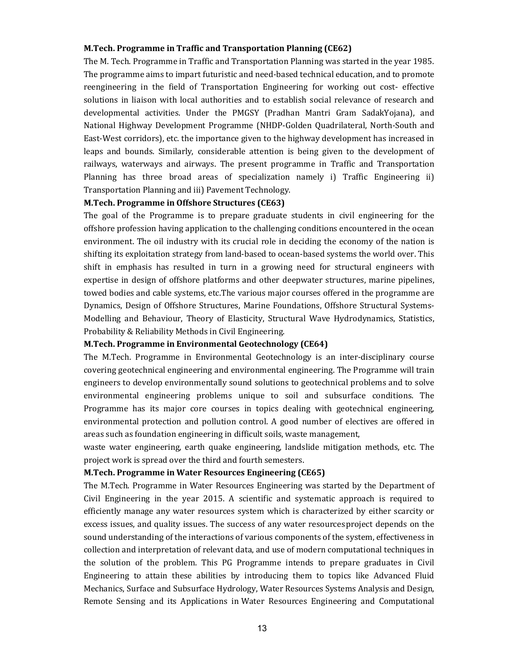#### M.Tech. Programme in Traffic and Transportation Planning (CE62)

The M. Tech. Programme in Traffic and Transportation Planning was started in the year 1985. The programme aims to impart futuristic and need-based technical education, and to promote reengineering in the field of Transportation Engineering for working out cost- effective solutions in liaison with local authorities and to establish social relevance of research and developmental activities. Under the PMGSY (Pradhan Mantri Gram SadakYojana), and National Highway Development Programme (NHDP-Golden Quadrilateral, North-South and East-West corridors), etc. the importance given to the highway development has increased in leaps and bounds. Similarly, considerable attention is being given to the development of railways, waterways and airways. The present programme in Traffic and Transportation Planning has three broad areas of specialization namely i) Traffic Engineering ii) Transportation Planning and iii) Pavement Technology.

#### M.Tech. Programme in Offshore Structures (CE63)

The goal of the Programme is to prepare graduate students in civil engineering for the offshore profession having application to the challenging conditions encountered in the ocean environment. The oil industry with its crucial role in deciding the economy of the nation is shifting its exploitation strategy from land-based to ocean-based systems the world over. This shift in emphasis has resulted in turn in a growing need for structural engineers with expertise in design of offshore platforms and other deepwater structures, marine pipelines, towed bodies and cable systems, etc.The various major courses offered in the programme are Dynamics, Design of Offshore Structures, Marine Foundations, Offshore Structural Systems-Modelling and Behaviour, Theory of Elasticity, Structural Wave Hydrodynamics, Statistics, Probability & Reliability Methods in Civil Engineering.

#### M.Tech. Programme in Environmental Geotechnology (CE64)

The M.Tech. Programme in Environmental Geotechnology is an inter-disciplinary course covering geotechnical engineering and environmental engineering. The Programme will train engineers to develop environmentally sound solutions to geotechnical problems and to solve environmental engineering problems unique to soil and subsurface conditions. The Programme has its major core courses in topics dealing with geotechnical engineering, environmental protection and pollution control. A good number of electives are offered in areas such as foundation engineering in difficult soils, waste management,

waste water engineering, earth quake engineering, landslide mitigation methods, etc. The project work is spread over the third and fourth semesters.

#### M.Tech. Programme in Water Resources Engineering (CE65)

The M.Tech. Programme in Water Resources Engineering was started by the Department of Civil Engineering in the year 2015. A scientific and systematic approach is required to efficiently manage any water resources system which is characterized by either scarcity or excess issues, and quality issues. The success of any water resources project depends on the sound understanding of the interactions of various components of the system, effectiveness in collection and interpretation of relevant data, and use of modern computational techniques in the solution of the problem. This PG Programme intends to prepare graduates in Civil Engineering to attain these abilities by introducing them to topics like Advanced Fluid Mechanics, Surface and Subsurface Hydrology, Water Resources Systems Analysis and Design, Remote Sensing and its Applications in Water Resources Engineering and Computational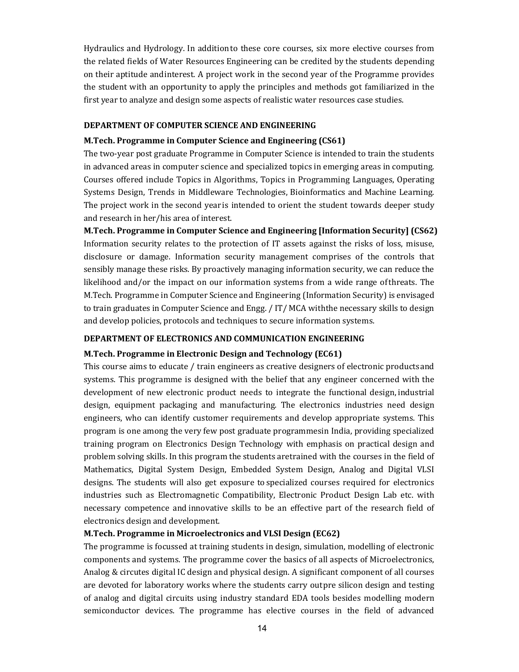Hydraulics and Hydrology. In addition to these core courses, six more elective courses from the related fields of Water Resources Engineering can be credited by the students depending on their aptitude and interest. A project work in the second year of the Programme provides the student with an opportunity to apply the principles and methods got familiarized in the first year to analyze and design some aspects of realistic water resources case studies.

### DEPARTMENT OF COMPUTER SCIENCE AND ENGINEERING

#### M.Tech. Programme in Computer Science and Engineering (CS61)

The two-year post graduate Programme in Computer Science is intended to train the students in advanced areas in computer science and specialized topics in emerging areas in computing. Courses offered include Topics in Algorithms, Topics in Programming Languages, Operating Systems Design, Trends in Middleware Technologies, Bioinformatics and Machine Learning. The project work in the second year is intended to orient the student towards deeper study and research in her/his area of interest.

M.Tech. Programme in Computer Science and Engineering [Information Security] (CS62) Information security relates to the protection of IT assets against the risks of loss, misuse, disclosure or damage. Information security management comprises of the controls that sensibly manage these risks. By proactively managing information security, we can reduce the likelihood and/or the impact on our information systems from a wide range of threats. The M.Tech. Programme in Computer Science and Engineering (Information Security) is envisaged to train graduates in Computer Science and Engg. / IT/MCA with the necessary skills to design and develop policies, protocols and techniques to secure information systems.

#### DEPARTMENT OF ELECTRONICS AND COMMUNICATION ENGINEERING

#### M.Tech. Programme in Electronic Design and Technology (EC61)

This course aims to educate / train engineers as creative designers of electronic products and systems. This programme is designed with the belief that any engineer concerned with the development of new electronic product needs to integrate the functional design, industrial design, equipment packaging and manufacturing. The electronics industries need design engineers, who can identify customer requirements and develop appropriate systems. This program is one among the very few post graduate programmes in India, providing specialized training program on Electronics Design Technology with emphasis on practical design and problem solving skills. In this program the students are trained with the courses in the field of Mathematics, Digital System Design, Embedded System Design, Analog and Digital VLSI designs. The students will also get exposure to specialized courses required for electronics industries such as Electromagnetic Compatibility, Electronic Product Design Lab etc. with necessary competence and innovative skills to be an effective part of the research field of electronics design and development.

### M.Tech. Programme in Microelectronics and VLSI Design (EC62)

The programme is focussed at training students in design, simulation, modelling of electronic components and systems. The programme cover the basics of all aspects of Microelectronics, Analog & circutes digital IC design and physical design. A significant component of all courses are devoted for laboratory works where the students carry outpre silicon design and testing of analog and digital circuits using industry standard EDA tools besides modelling modern semiconductor devices. The programme has elective courses in the field of advanced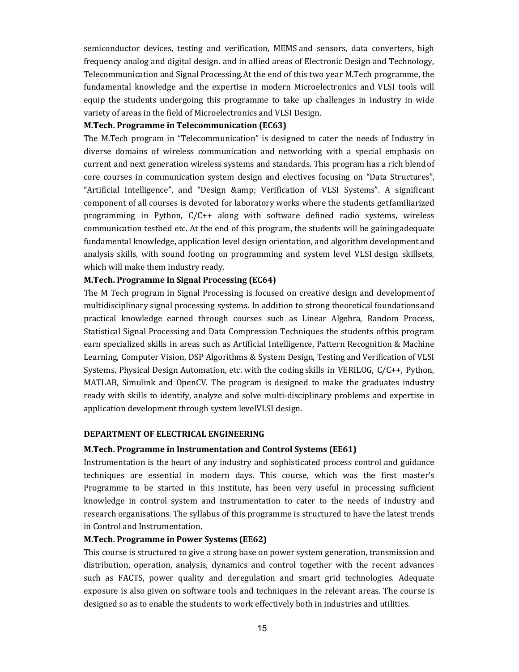semiconductor devices, testing and verification, MEMS and sensors, data converters, high frequency analog and digital design. and in allied areas of Electronic Design and Technology, Telecommunication and Signal Processing. At the end of this two year M.Tech programme, the fundamental knowledge and the expertise in modern Microelectronics and VLSI tools will equip the students undergoing this programme to take up challenges in industry in wide variety of areas in the field of Microelectronics and VLSI Design.

## M.Tech. Programme in Telecommunication (EC63)

The M.Tech program in "Telecommunication" is designed to cater the needs of Industry in diverse domains of wireless communication and networking with a special emphasis on current and next generation wireless systems and standards. This program has a rich blend of core courses in communication system design and electives focusing on "Data Structures", "Artificial Intelligence", and "Design & amp; Verification of VLSI Systems". A significant component of all courses is devoted for laboratory works where the students get familiarized programming in Python, C/C++ along with software defined radio systems, wireless communication testbed etc. At the end of this program, the students will be gaining adequate fundamental knowledge, application level design orientation, and algorithm development and analysis skills, with sound footing on programming and system level VLSI design skillsets, which will make them industry ready.

### M.Tech. Programme in Signal Processing (EC64)

The M Tech program in Signal Processing is focused on creative design and development of multidisciplinary signal processing systems. In addition to strong theoretical foundations and practical knowledge earned through courses such as Linear Algebra, Random Process, Statistical Signal Processing and Data Compression Techniques the students of this program earn specialized skills in areas such as Artificial Intelligence, Pattern Recognition & Machine Learning, Computer Vision, DSP Algorithms & System Design, Testing and Verification of VLSI Systems, Physical Design Automation, etc. with the coding skills in VERILOG, C/C++, Python, MATLAB, Simulink and OpenCV. The program is designed to make the graduates industry ready with skills to identify, analyze and solve multi-disciplinary problems and expertise in application development through system level VLSI design.

#### DEPARTMENT OF ELECTRICAL ENGINEERING

#### M.Tech. Programme in Instrumentation and Control Systems (EE61)

Instrumentation is the heart of any industry and sophisticated process control and guidance techniques are essential in modern days. This course, which was the first master's Programme to be started in this institute, has been very useful in processing sufficient knowledge in control system and instrumentation to cater to the needs of industry and research organisations. The syllabus of this programme is structured to have the latest trends in Control and Instrumentation.

#### M.Tech. Programme in Power Systems (EE62)

This course is structured to give a strong base on power system generation, transmission and distribution, operation, analysis, dynamics and control together with the recent advances such as FACTS, power quality and deregulation and smart grid technologies. Adequate exposure is also given on software tools and techniques in the relevant areas. The course is designed so as to enable the students to work effectively both in industries and utilities.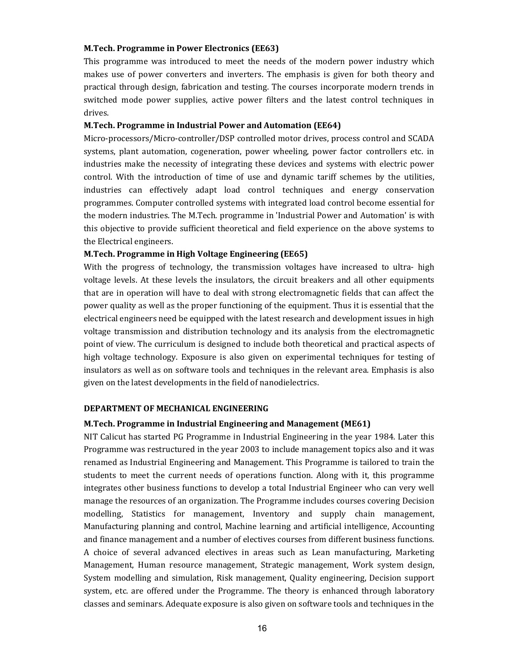#### M.Tech. Programme in Power Electronics (EE63)

This programme was introduced to meet the needs of the modern power industry which makes use of power converters and inverters. The emphasis is given for both theory and practical through design, fabrication and testing. The courses incorporate modern trends in switched mode power supplies, active power filters and the latest control techniques in drives.

## M.Tech. Programme in Industrial Power and Automation (EE64)

Micro-processors/Micro-controller/DSP controlled motor drives, process control and SCADA systems, plant automation, cogeneration, power wheeling, power factor controllers etc. in industries make the necessity of integrating these devices and systems with electric power control. With the introduction of time of use and dynamic tariff schemes by the utilities, industries can effectively adapt load control techniques and energy conservation programmes. Computer controlled systems with integrated load control become essential for the modern industries. The M.Tech. programme in 'Industrial Power and Automation' is with this objective to provide sufficient theoretical and field experience on the above systems to the Electrical engineers.

#### M.Tech. Programme in High Voltage Engineering (EE65)

With the progress of technology, the transmission voltages have increased to ultra- high voltage levels. At these levels the insulators, the circuit breakers and all other equipments that are in operation will have to deal with strong electromagnetic fields that can affect the power quality as well as the proper functioning of the equipment. Thus it is essential that the electrical engineers need be equipped with the latest research and development issues in high voltage transmission and distribution technology and its analysis from the electromagnetic point of view. The curriculum is designed to include both theoretical and practical aspects of high voltage technology. Exposure is also given on experimental techniques for testing of insulators as well as on software tools and techniques in the relevant area. Emphasis is also given on the latest developments in the field of nanodielectrics.

#### DEPARTMENT OF MECHANICAL ENGINEERING

#### M.Tech. Programme in Industrial Engineering and Management (ME61)

NIT Calicut has started PG Programme in Industrial Engineering in the year 1984. Later this Programme was restructured in the year 2003 to include management topics also and it was renamed as Industrial Engineering and Management. This Programme is tailored to train the students to meet the current needs of operations function. Along with it, this programme integrates other business functions to develop a total Industrial Engineer who can very well manage the resources of an organization. The Programme includes courses covering Decision modelling, Statistics for management, Inventory and supply chain management, Manufacturing planning and control, Machine learning and artificial intelligence, Accounting and finance management and a number of electives courses from different business functions. A choice of several advanced electives in areas such as Lean manufacturing, Marketing Management, Human resource management, Strategic management, Work system design, System modelling and simulation, Risk management, Quality engineering, Decision support system, etc. are offered under the Programme. The theory is enhanced through laboratory classes and seminars. Adequate exposure is also given on software tools and techniques in the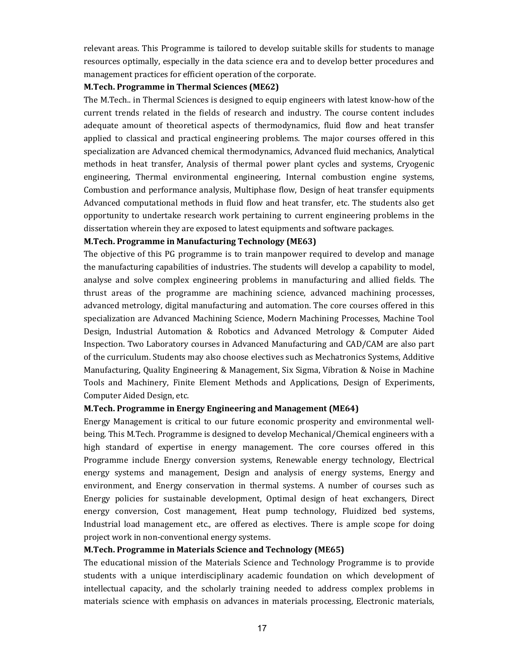relevant areas. This Programme is tailored to develop suitable skills for students to manage resources optimally, especially in the data science era and to develop better procedures and management practices for efficient operation of the corporate.

### M.Tech. Programme in Thermal Sciences (ME62)

The M.Tech.. in Thermal Sciences is designed to equip engineers with latest know-how of the current trends related in the fields of research and industry. The course content includes adequate amount of theoretical aspects of thermodynamics, fluid flow and heat transfer applied to classical and practical engineering problems. The major courses offered in this specialization are Advanced chemical thermodynamics, Advanced fluid mechanics, Analytical methods in heat transfer, Analysis of thermal power plant cycles and systems, Cryogenic engineering, Thermal environmental engineering, Internal combustion engine systems, Combustion and performance analysis, Multiphase flow, Design of heat transfer equipments Advanced computational methods in fluid flow and heat transfer, etc. The students also get opportunity to undertake research work pertaining to current engineering problems in the dissertation wherein they are exposed to latest equipments and software packages.

### M.Tech. Programme in Manufacturing Technology (ME63)

The objective of this PG programme is to train manpower required to develop and manage the manufacturing capabilities of industries. The students will develop a capability to model, analyse and solve complex engineering problems in manufacturing and allied fields. The thrust areas of the programme are machining science, advanced machining processes, advanced metrology, digital manufacturing and automation. The core courses offered in this specialization are Advanced Machining Science, Modern Machining Processes, Machine Tool Design, Industrial Automation & Robotics and Advanced Metrology & Computer Aided Inspection. Two Laboratory courses in Advanced Manufacturing and CAD/CAM are also part of the curriculum. Students may also choose electives such as Mechatronics Systems, Additive Manufacturing, Quality Engineering & Management, Six Sigma, Vibration & Noise in Machine Tools and Machinery, Finite Element Methods and Applications, Design of Experiments, Computer Aided Design, etc.

#### M.Tech. Programme in Energy Engineering and Management (ME64)

Energy Management is critical to our future economic prosperity and environmental wellbeing. This M.Tech. Programme is designed to develop Mechanical/Chemical engineers with a high standard of expertise in energy management. The core courses offered in this Programme include Energy conversion systems, Renewable energy technology, Electrical energy systems and management, Design and analysis of energy systems, Energy and environment, and Energy conservation in thermal systems. A number of courses such as Energy policies for sustainable development, Optimal design of heat exchangers, Direct energy conversion, Cost management, Heat pump technology, Fluidized bed systems, Industrial load management etc., are offered as electives. There is ample scope for doing project work in non-conventional energy systems.

## M.Tech. Programme in Materials Science and Technology (ME65)

The educational mission of the Materials Science and Technology Programme is to provide students with a unique interdisciplinary academic foundation on which development of intellectual capacity, and the scholarly training needed to address complex problems in materials science with emphasis on advances in materials processing, Electronic materials,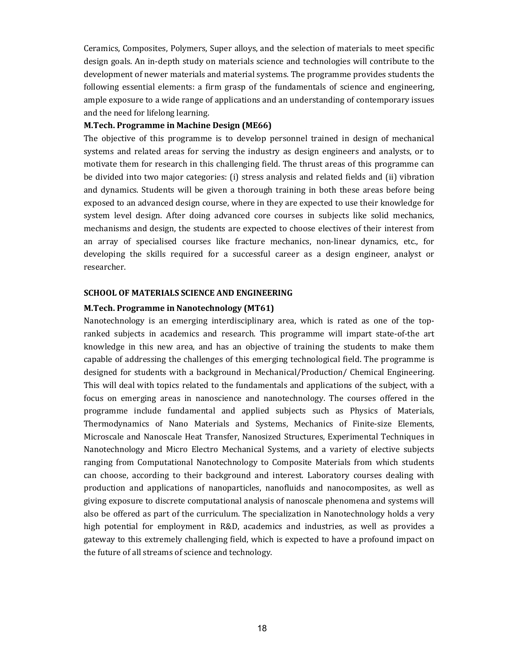Ceramics, Composites, Polymers, Super alloys, and the selection of materials to meet specific design goals. An in-depth study on materials science and technologies will contribute to the development of newer materials and material systems. The programme provides students the following essential elements: a firm grasp of the fundamentals of science and engineering, ample exposure to a wide range of applications and an understanding of contemporary issues and the need for lifelong learning.

#### M.Tech. Programme in Machine Design (ME66)

The objective of this programme is to develop personnel trained in design of mechanical systems and related areas for serving the industry as design engineers and analysts, or to motivate them for research in this challenging field. The thrust areas of this programme can be divided into two major categories: (i) stress analysis and related fields and (ii) vibration and dynamics. Students will be given a thorough training in both these areas before being exposed to an advanced design course, where in they are expected to use their knowledge for system level design. After doing advanced core courses in subjects like solid mechanics, mechanisms and design, the students are expected to choose electives of their interest from an array of specialised courses like fracture mechanics, non-linear dynamics, etc., for developing the skills required for a successful career as a design engineer, analyst or researcher.

#### SCHOOL OF MATERIALS SCIENCE AND ENGINEERING

#### M.Tech. Programme in Nanotechnology (MT61)

Nanotechnology is an emerging interdisciplinary area, which is rated as one of the topranked subjects in academics and research. This programme will impart state-of-the art knowledge in this new area, and has an objective of training the students to make them capable of addressing the challenges of this emerging technological field. The programme is designed for students with a background in Mechanical/Production/ Chemical Engineering. This will deal with topics related to the fundamentals and applications of the subject, with a focus on emerging areas in nanoscience and nanotechnology. The courses offered in the programme include fundamental and applied subjects such as Physics of Materials, Thermodynamics of Nano Materials and Systems, Mechanics of Finite-size Elements, Microscale and Nanoscale Heat Transfer, Nanosized Structures, Experimental Techniques in Nanotechnology and Micro Electro Mechanical Systems, and a variety of elective subjects ranging from Computational Nanotechnology to Composite Materials from which students can choose, according to their background and interest. Laboratory courses dealing with production and applications of nanoparticles, nanofluids and nanocomposites, as well as giving exposure to discrete computational analysis of nanoscale phenomena and systems will also be offered as part of the curriculum. The specialization in Nanotechnology holds a very high potential for employment in R&D, academics and industries, as well as provides a gateway to this extremely challenging field, which is expected to have a profound impact on the future of all streams of science and technology.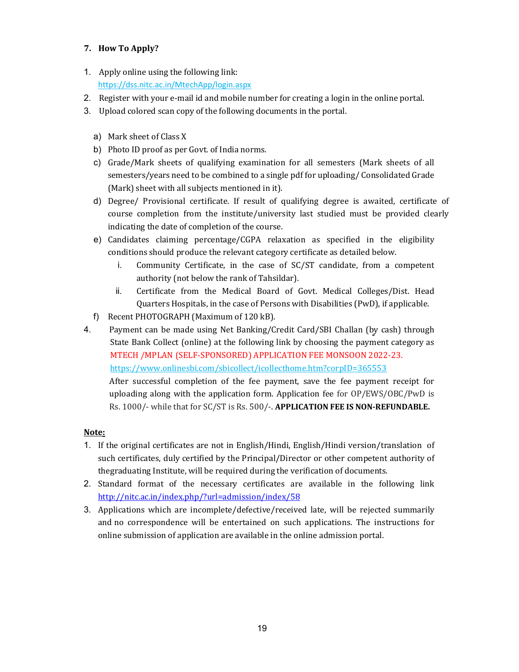## 7. How To Apply?

- 1. Apply online using the following link: https://dss.nitc.ac.in/MtechApp/login.aspx
- 2. Register with your e-mail id and mobile number for creating a login in the online portal.
- 3. Upload colored scan copy of the following documents in the portal.
	- a) Mark sheet of Class X
	- b) Photo ID proof as per Govt. of India norms.
	- c) Grade/Mark sheets of qualifying examination for all semesters (Mark sheets of all semesters/years need to be combined to a single pdf for uploading/ Consolidated Grade (Mark) sheet with all subjects mentioned in it).
	- d) Degree/ Provisional certificate. If result of qualifying degree is awaited, certificate of course completion from the institute/university last studied must be provided clearly indicating the date of completion of the course.
	- e) Candidates claiming percentage/CGPA relaxation as specified in the eligibility conditions should produce the relevant category certificate as detailed below.
		- i. Community Certificate, in the case of SC/ST candidate, from a competent authority (not below the rank of Tahsildar).
		- ii. Certificate from the Medical Board of Govt. Medical Colleges/Dist. Head Quarters Hospitals, in the case of Persons with Disabilities (PwD), if applicable.
	- f) Recent PHOTOGRAPH (Maximum of 120 kB).
- 4. Payment can be made using Net Banking/Credit Card/SBI Challan (by cash) through State Bank Collect (online) at the following link by choosing the payment category as MTECH /MPLAN (SELF-SPONSORED) APPLICATION FEE MONSOON 2022-23. https://www.onlinesbi.com/sbicollect/icollecthome.htm?corpID=365553 After successful completion of the fee payment, save the fee payment receipt for uploading along with the application form. Application fee for OP/EWS/OBC/PwD is Rs. 1000/- while that for SC/ST is Rs. 500/-. APPLICATION FEE IS NON-REFUNDABLE.

## Note:

- 1. If the original certificates are not in English/Hindi, English/Hindi version/translation of such certificates, duly certified by the Principal/Director or other competent authority of the graduating Institute, will be required during the verification of documents.
- 2. Standard format of the necessary certificates are available in the following link http://nitc.ac.in/index.php/?url=admission/index/58
- 3. Applications which are incomplete/defective/received late, will be rejected summarily and no correspondence will be entertained on such applications. The instructions for online submission of application are available in the online admission portal.